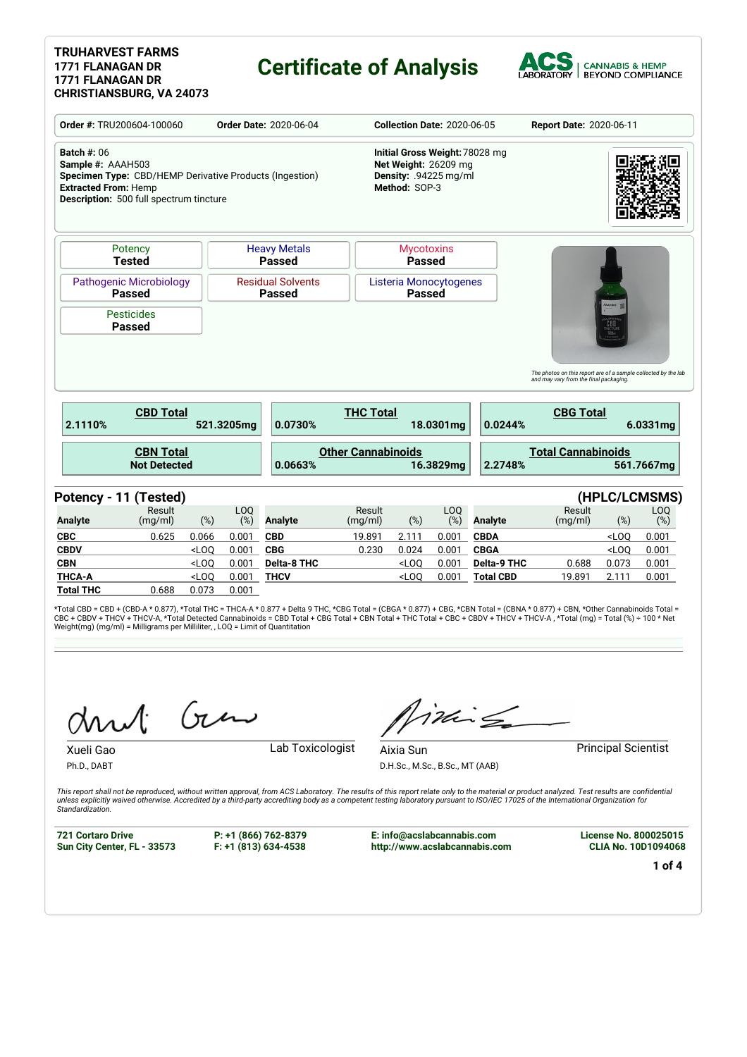#### **TRUHARVEST FARMS 1771 FLANAGAN DR 1771 FLANAGAN DR CHRISTIANSBURG, VA 24073**

### **Certificate of Analysis**



| Order #: TRU200604-100060                                                                                                                                                    |                                                                  | <b>Order Date: 2020-06-04</b> | <b>Collection Date: 2020-06-05</b> |                                           |                                                                                                  |                                         | Report Date: 2020-06-11 |                    |                                                                |         |               |
|------------------------------------------------------------------------------------------------------------------------------------------------------------------------------|------------------------------------------------------------------|-------------------------------|------------------------------------|-------------------------------------------|--------------------------------------------------------------------------------------------------|-----------------------------------------|-------------------------|--------------------|----------------------------------------------------------------|---------|---------------|
| <b>Batch #: 06</b><br>Sample #: AAAH503<br>Specimen Type: CBD/HEMP Derivative Products (Ingestion)<br><b>Extracted From: Hemp</b><br>Description: 500 full spectrum tincture |                                                                  |                               |                                    |                                           | Initial Gross Weight: 78028 mg<br>Net Weight: 26209 mg<br>Density: .94225 mg/ml<br>Method: SOP-3 |                                         |                         |                    |                                                                |         |               |
|                                                                                                                                                                              | <b>Heavy Metals</b><br>Potency<br><b>Tested</b><br><b>Passed</b> |                               |                                    |                                           |                                                                                                  | <b>Mycotoxins</b><br><b>Passed</b>      |                         |                    |                                                                |         |               |
| <b>Pathogenic Microbiology</b>                                                                                                                                               | <b>Passed</b>                                                    |                               |                                    | <b>Residual Solvents</b><br><b>Passed</b> |                                                                                                  | Listeria Monocytogenes<br><b>Passed</b> |                         |                    |                                                                |         |               |
| <b>Pesticides</b>                                                                                                                                                            |                                                                  |                               |                                    |                                           |                                                                                                  |                                         |                         |                    |                                                                | COSHAA  |               |
|                                                                                                                                                                              | <b>Passed</b>                                                    |                               |                                    |                                           |                                                                                                  |                                         |                         |                    | The photos on this report are of a sample collected by the lab |         |               |
| 2.1110%                                                                                                                                                                      | <b>CBD Total</b>                                                 |                               | 521.3205mg                         | 0.0730%                                   | <b>THC Total</b>                                                                                 |                                         | 18.0301mg               | 0.0244%            | and may vary from the final packaging.<br><b>CBG Total</b>     |         | 6.0331mg      |
|                                                                                                                                                                              | <b>CBN Total</b><br><b>Not Detected</b>                          |                               |                                    | 0.0663%                                   | <b>Other Cannabinoids</b>                                                                        |                                         | 16.3829mg               | 2.2748%            | <b>Total Cannabinoids</b>                                      |         | 561.7667mg    |
| Potency - 11 (Tested)                                                                                                                                                        |                                                                  |                               |                                    |                                           |                                                                                                  |                                         |                         |                    |                                                                |         | (HPLC/LCMSMS) |
|                                                                                                                                                                              | Result<br>(mq/ml)                                                | (%)                           | LO <sub>O</sub><br>(%)             | <b>Analyte</b>                            | Result<br>(mg/ml)                                                                                | (%)                                     | LO <sub>O</sub><br>(%)  | <b>Analyte</b>     | Result<br>(mg/ml)                                              | $(\%)$  | LOQ<br>$(\%)$ |
|                                                                                                                                                                              | 0.625                                                            | 0.066                         | 0.001                              | <b>CBD</b>                                | 19.891                                                                                           | 2.111                                   | 0.001                   | <b>CBDA</b>        |                                                                | $<$ LOO | 0.001         |
|                                                                                                                                                                              |                                                                  | $<$ LOO                       | 0.001                              | <b>CBG</b>                                | 0.230                                                                                            | 0.024                                   | 0.001                   | <b>CBGA</b>        |                                                                | $<$ LOQ | 0.001         |
| <b>Analyte</b><br><b>CBC</b><br><b>CBDV</b><br><b>CBN</b>                                                                                                                    |                                                                  | $<$ LOQ                       | 0.001                              | <b>Delta-8 THC</b>                        |                                                                                                  | $<$ LOO                                 | 0.001                   | <b>Delta-9 THC</b> | 0.688                                                          | 0.073   | 0.001         |
| <b>THCA-A</b>                                                                                                                                                                |                                                                  | $<$ LOQ                       | 0.001                              | <b>THCV</b>                               |                                                                                                  | $<$ LOO                                 | 0.001                   | <b>Total CBD</b>   | 19.891                                                         | 2.111   | 0.001         |

\*Total CBD = CBD + (CBD-A \* 0.877), \*Total THC = THCA-A \* 0.877 + Delta 9 THC, \*CBG Total = (CBGA \* 0.877) + CBG, \*CBN Total = (CBNA \* 0.877) + CBN, \*Other Cannabinoids Total =<br>CBC + CBDV + THCV + THCV-A, \*Total Detected C

Gen

Xueli Gao **Lab Toxicologist** 

iding

D.H.Sc., M.Sc., B.Sc., MT (AAB)

Aixia Sun **Principal Scientist** 

Ph.D., DABT

*Standardization.*

This report shall not be reproduced, without written approval, from ACS Laboratory. The results of this report relate only to the material or product analyzed. Test results are confidential<br>unless explicitly waived otherwi

**721 Cortaro Drive Sun City Center, FL - 33573** **P: +1 (866) 762-8379 F: +1 (813) 634-4538**

**E: info@acslabcannabis.com http://www.acslabcannabis.com** **License No. 800025015 CLIA No. 10D1094068**

**1 of 4**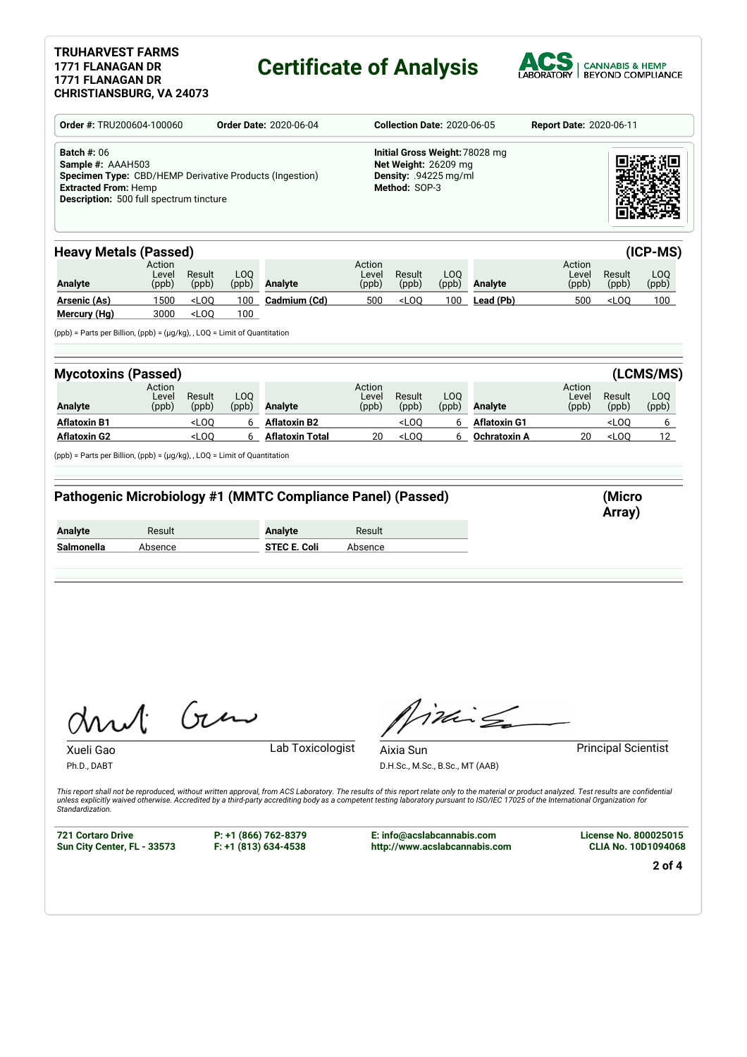### **TRUHARVEST FARMS 1771 FLANAGAN DR 1771 FLANAGAN DR**

# **Certificate of Analysis**



| Order #: TRU200604-100060                                                                                                                                                               |                          |                                                                                                                                                                                                                |              | <b>Order Date: 2020-06-04</b>                                                                                                                                                                                                                                                                                                                                                                           |                          | <b>Collection Date: 2020-06-05</b>                                                               |              | Report Date: 2020-06-11 |                          |                                             |                  |  |
|-----------------------------------------------------------------------------------------------------------------------------------------------------------------------------------------|--------------------------|----------------------------------------------------------------------------------------------------------------------------------------------------------------------------------------------------------------|--------------|---------------------------------------------------------------------------------------------------------------------------------------------------------------------------------------------------------------------------------------------------------------------------------------------------------------------------------------------------------------------------------------------------------|--------------------------|--------------------------------------------------------------------------------------------------|--------------|-------------------------|--------------------------|---------------------------------------------|------------------|--|
| <b>Batch #: 06</b><br>Sample #: AAAH503<br>Specimen Type: CBD/HEMP Derivative Products (Ingestion)<br><b>Extracted From: Hemp</b><br>Description: 500 full spectrum tincture            |                          |                                                                                                                                                                                                                |              |                                                                                                                                                                                                                                                                                                                                                                                                         |                          | Initial Gross Weight: 78028 mg<br>Net Weight: 26209 mg<br>Density: .94225 mg/ml<br>Method: SOP-3 |              |                         |                          |                                             |                  |  |
| <b>Heavy Metals (Passed)</b>                                                                                                                                                            |                          |                                                                                                                                                                                                                |              |                                                                                                                                                                                                                                                                                                                                                                                                         |                          |                                                                                                  |              |                         |                          |                                             | (ICP-MS)         |  |
| <b>Analyte</b>                                                                                                                                                                          | Action<br>Level<br>(ppb) | Result<br>(ppb)                                                                                                                                                                                                | LOQ<br>(ppb) | <b>Analyte</b>                                                                                                                                                                                                                                                                                                                                                                                          | Action<br>Level<br>(ppb) | Result<br>(ppb)                                                                                  | LOQ<br>(ppb) | Analyte                 | Action<br>Level<br>(ppb) | Result<br>(ppb)                             | LOQ<br>(ppb)     |  |
| <u> Arsenic (As)</u><br>Mercury (Hg)                                                                                                                                                    | 1500<br>3000             | $<$ LOQ<br><loq< td=""><td>100<br/>100</td><td>Cadmium (Cd)</td><td>500</td><td><math>&lt;</math>LOQ</td><td>100</td><td>Lead (Pb)</td><td>500</td><td><loq< td=""><td>100<sub>1</sub></td></loq<></td></loq<> | 100<br>100   | Cadmium (Cd)                                                                                                                                                                                                                                                                                                                                                                                            | 500                      | $<$ LOQ                                                                                          | 100          | Lead (Pb)               | 500                      | <loq< td=""><td>100<sub>1</sub></td></loq<> | 100 <sub>1</sub> |  |
| $(ppb)$ = Parts per Billion, $(ppb)$ = $(\mu g/kg)$ , , LOQ = Limit of Quantitation                                                                                                     |                          |                                                                                                                                                                                                                |              |                                                                                                                                                                                                                                                                                                                                                                                                         |                          |                                                                                                  |              |                         |                          |                                             |                  |  |
| <b>Mycotoxins (Passed)</b>                                                                                                                                                              |                          |                                                                                                                                                                                                                |              |                                                                                                                                                                                                                                                                                                                                                                                                         |                          |                                                                                                  |              |                         |                          |                                             | (LCMS/MS)        |  |
| <b>Analyte</b>                                                                                                                                                                          | Action<br>Level<br>(ppb) | Result<br>(ppb)                                                                                                                                                                                                | LOQ<br>(ppb) | Analyte                                                                                                                                                                                                                                                                                                                                                                                                 | Action<br>Level<br>(ppb) | Result<br>(ppb)                                                                                  | LOQ<br>(ppb) | <b>Analyte</b>          | Action<br>Level<br>(ppb) | Result<br>(ppb)                             | LOQ<br>(ppb)     |  |
| <b>Aflatoxin B1</b>                                                                                                                                                                     |                          | <loq< td=""><td>6</td><td><b>Aflatoxin B2</b></td><td></td><td><math>&lt;</math>LOQ</td><td>6</td><td><b>Aflatoxin G1</b></td><td></td><td>LOO</td><td>6</td></loq<>                                           | 6            | <b>Aflatoxin B2</b>                                                                                                                                                                                                                                                                                                                                                                                     |                          | $<$ LOQ                                                                                          | 6            | <b>Aflatoxin G1</b>     |                          | LOO                                         | 6                |  |
|                                                                                                                                                                                         |                          |                                                                                                                                                                                                                |              |                                                                                                                                                                                                                                                                                                                                                                                                         |                          |                                                                                                  |              |                         |                          |                                             | 12 <sup>12</sup> |  |
|                                                                                                                                                                                         |                          | $<$ LOQ                                                                                                                                                                                                        | 6            | <b>Aflatoxin Total</b><br>Pathogenic Microbiology #1 (MMTC Compliance Panel) (Passed)                                                                                                                                                                                                                                                                                                                   | 20                       | $<$ LOQ                                                                                          | 6            | Ochratoxin A            | 20                       | <loq<br>(Micro<br/>Array)</loq<br>          |                  |  |
|                                                                                                                                                                                         | Result<br>Absence        |                                                                                                                                                                                                                |              | <b>Analyte</b><br><b>STEC E. Coli</b>                                                                                                                                                                                                                                                                                                                                                                   | Result<br>Absence        |                                                                                                  |              |                         |                          |                                             |                  |  |
|                                                                                                                                                                                         |                          |                                                                                                                                                                                                                |              |                                                                                                                                                                                                                                                                                                                                                                                                         |                          |                                                                                                  |              |                         |                          |                                             |                  |  |
| <b>Aflatoxin G2</b><br>(ppb) = Parts per Billion, (ppb) = (µg/kg), , LOQ = Limit of Quantitation<br><b>Analyte</b><br>Salmonella<br>hut<br>Xueli Gao<br>Ph.D., DABT<br>Standardization. |                          | Gu                                                                                                                                                                                                             |              | Lab Toxicologist<br>This report shall not be reproduced, without written approval, from ACS Laboratory. The results of this report relate only to the material or product analyzed. Test results are confidential<br>unless explicitly waived otherwise. Accredited by a third-party accrediting body as a competent testing laboratory pursuant to ISO/IEC 17025 of the International Organization for |                          | Aixia Sun<br>D.H.Sc., M.Sc., B.Sc., MT (AAB)                                                     |              | ini Sa                  |                          | <b>Principal Scientist</b>                  |                  |  |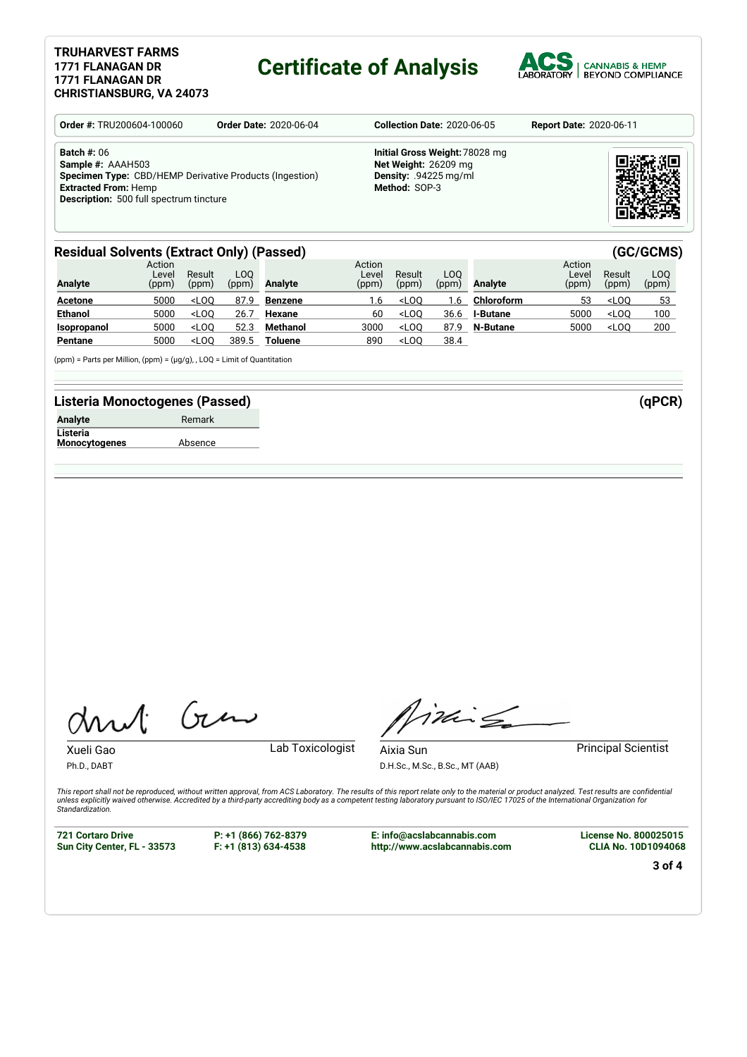#### **TRUHARVEST FARMS 1771 FLANAGAN DR 1771 FLANAGAN DR CHRISTIANSBURG, VA 24073**

### **Certificate of Analysis**



| <b>Order #: TRU200604-100060</b>                                                                                                                                                           | <b>Order Date: 2020-06-04</b> | <b>Collection Date: 2020-06-05</b>                                                                        | <b>Report Date: 2020-06-11</b> |
|--------------------------------------------------------------------------------------------------------------------------------------------------------------------------------------------|-------------------------------|-----------------------------------------------------------------------------------------------------------|--------------------------------|
| <b>Batch #: 06</b><br>Sample #: AAAH503<br><b>Specimen Type:</b> CBD/HEMP Derivative Products (Ingestion)<br><b>Extracted From: Hemp</b><br><b>Description:</b> 500 full spectrum tincture |                               | Initial Gross Weight: 78028 mg<br>Net Weight: 26209 mg<br><b>Density:</b> $.94225$ mg/ml<br>Method: SOP-3 |                                |

#### **Residual Solvents (Extract Only) (Passed) (GC/GCMS)**

| <b>Analyte</b> | Action<br>Level<br>(ppm) | Result<br>(ppm) | LOO<br>(ppm) | Analyte        | Action<br>Level<br>(ppm) | Result<br>(ppm) | LOO.<br>(ppm) | Analyte         | Action<br>Level<br>(ppm) | Result<br>(ppm) | LOO<br>(ppm) |
|----------------|--------------------------|-----------------|--------------|----------------|--------------------------|-----------------|---------------|-----------------|--------------------------|-----------------|--------------|
| <b>Acetone</b> | 5000                     | $<$ LOO         | 87.9         | Benzene        | 1.6                      | $<$ LOO         | .6            | Chloroform      | 53                       | $<$ LOO         | 53           |
| <b>Ethanol</b> | 5000                     | $<$ LOO         | 26.7         | Hexane         | 60                       | $<$ LOO         | 36.6          | <b>I-Butane</b> | 5000                     | $<$ LOO         | 100          |
| Isopropanol    | 5000                     | $<$ LOO         | 52.3         | Methanol       | 3000                     | $<$ LOO         | 87.9          | N-Butane        | 5000                     | $<$ LOO         | 200          |
| Pentane        | 5000                     | $<$ LOO         | 389.5        | <b>Toluene</b> | 890                      | $<$ LOO         | 38.4          |                 |                          |                 |              |

(ppm) = Parts per Million, (ppm) = (µg/g), , LOQ = Limit of Quantitation

#### **Listeria Monoctogenes (Passed) (qPCR)**

| <b>Analyte</b>       | Remark  |
|----------------------|---------|
| Listeria             |         |
| <b>Monocytogenes</b> | Absence |

Gen

Xueli Gao **Lab Toxicologist** 

Ph.D., DABT

Timile

D.H.Sc., M.Sc., B.Sc., MT (AAB)

Aixia Sun **Principal Scientist** 

This report shall not be reproduced, without written approval, from ACS Laboratory. The results of this report relate only to the material or product analyzed. Test results are confidential<br>unless explicitly waived otherwi *Standardization.*

**721 Cortaro Drive Sun City Center, FL - 33573** **P: +1 (866) 762-8379 F: +1 (813) 634-4538**

**E: info@acslabcannabis.com http://www.acslabcannabis.com** **License No. 800025015 CLIA No. 10D1094068**

**3 of 4**